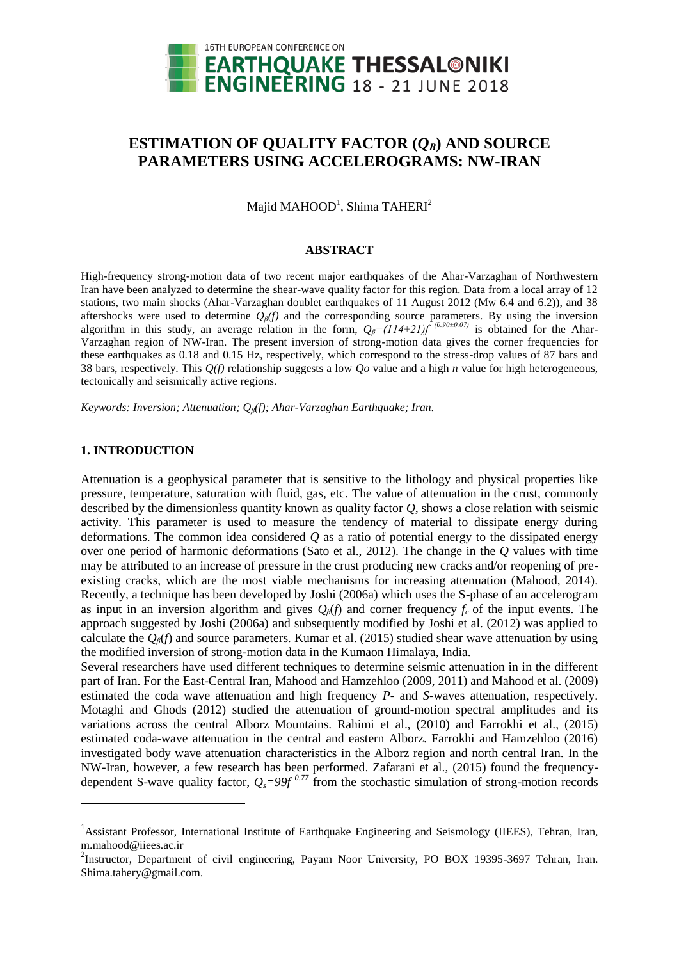

# **ESTIMATION OF QUALITY FACTOR**  $(Q_B)$  **AND SOURCE PARAMETERS USING ACCELEROGRAMS: NW-IRAN**

Majid MAHOOD $^1$ , Shima TAHERI $^2$ 

#### **ABSTRACT**

High-frequency strong-motion data of two recent major earthquakes of the Ahar-Varzaghan of Northwestern Iran have been analyzed to determine the shear-wave quality factor for this region. Data from a local array of 12 stations, two main shocks (Ahar-Varzaghan doublet earthquakes of 11 August 2012 (Mw 6.4 and 6.2)), and 38 aftershocks were used to determine  $Q_\beta(f)$  and the corresponding source parameters. By using the inversion algorithm in this study, an average relation in the form,  $Q_\beta = (114 \pm 21)f^{(0.90 \pm 0.07)}$  is obtained for the Ahar-Varzaghan region of NW-Iran. The present inversion of strong-motion data gives the corner frequencies for these earthquakes as 0.18 and 0.15 Hz, respectively, which correspond to the stress-drop values of 87 bars and 38 bars, respectively. This *Q(f)* relationship suggests a low *Qo* value and a high *n* value for high heterogeneous, tectonically and seismically active regions.

*Keywords: Inversion; Attenuation; Qβ(f); Ahar-Varzaghan Earthquake; Iran.*

## **1. INTRODUCTION**

 $\overline{a}$ 

Attenuation is a geophysical parameter that is sensitive to the lithology and physical properties like pressure, temperature, saturation with fluid, gas, etc. The value of attenuation in the crust, commonly described by the dimensionless quantity known as quality factor *Q*, shows a close relation with seismic activity. This parameter is used to measure the tendency of material to dissipate energy during deformations. The common idea considered *Q* as a ratio of potential energy to the dissipated energy over one period of harmonic deformations (Sato et al., 2012). The change in the *Q* values with time may be attributed to an increase of pressure in the crust producing new cracks and/or reopening of preexisting cracks, which are the most viable mechanisms for increasing attenuation (Mahood, 2014). Recently, a technique has been developed by Joshi (2006a) which uses the S-phase of an accelerogram as input in an inversion algorithm and gives *Qβ*(*f*) and corner frequency *fc* of the input events. The approach suggested by Joshi (2006a) and subsequently modified by Joshi et al. (2012) was applied to calculate the  $Q_\beta(f)$  and source parameters. Kumar et al. (2015) studied shear wave attenuation by using the modified inversion of strong-motion data in the Kumaon Himalaya, India.

Several researchers have used different techniques to determine seismic attenuation in in the different part of Iran. For the East-Central Iran, Mahood and Hamzehloo (2009, 2011) and Mahood et al. (2009) estimated the coda wave attenuation and high frequency *P-* and *S-*waves attenuation, respectively. Motaghi and Ghods (2012) studied the attenuation of ground-motion spectral amplitudes and its variations across the central Alborz Mountains. Rahimi et al., (2010) and Farrokhi et al., (2015) estimated coda-wave attenuation in the central and eastern Alborz. Farrokhi and Hamzehloo (2016) investigated body wave attenuation characteristics in the Alborz region and north central Iran. In the NW-Iran, however, a few research has been performed. Zafarani et al., (2015) found the frequencydependent S-wave quality factor,  $Q_s = 99f^{0.77}$  from the stochastic simulation of strong-motion records

<sup>&</sup>lt;sup>1</sup>Assistant Professor, International Institute of Earthquake Engineering and Seismology (IIEES), Tehran, Iran, [m.mahood@iiees.ac.ir](mailto:m.mahood@iiees.ac.ir)

<sup>&</sup>lt;sup>2</sup>Instructor, Department of civil engineering, Payam Noor University, PO BOX 19395-3697 Tehran, Iran. Shima.tahery@gmail.com.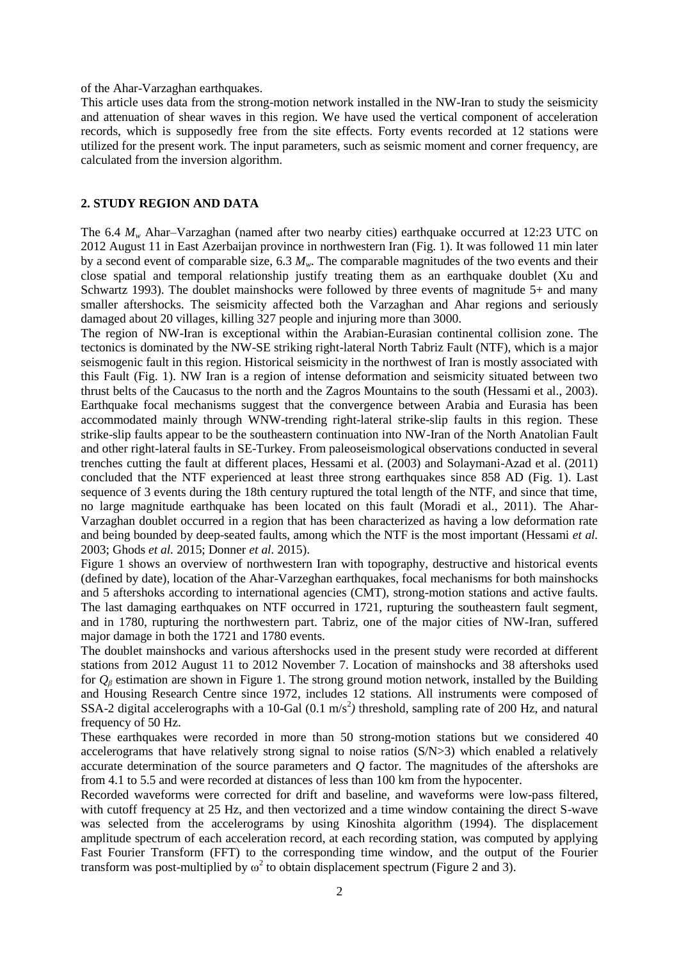## of the Ahar-Varzaghan earthquakes.

This article uses data from the strong-motion network installed in the NW-Iran to study the seismicity and attenuation of shear waves in this region. We have used the vertical component of acceleration records, which is supposedly free from the site effects. Forty events recorded at 12 stations were utilized for the present work. The input parameters, such as seismic moment and corner frequency, are calculated from the inversion algorithm.

### **2. STUDY REGION AND DATA**

The 6.4 *M<sup>w</sup>* Ahar–Varzaghan (named after two nearby cities) earthquake occurred at 12:23 UTC on 2012 August 11 in East Azerbaijan province in northwestern Iran (Fig. 1). It was followed 11 min later by a second event of comparable size, 6.3 *Mw*. The comparable magnitudes of the two events and their close spatial and temporal relationship justify treating them as an earthquake doublet (Xu and Schwartz 1993). The doublet mainshocks were followed by three events of magnitude 5+ and many smaller aftershocks. The seismicity affected both the Varzaghan and Ahar regions and seriously damaged about 20 villages, killing 327 people and injuring more than 3000.

The region of NW-Iran is exceptional within the Arabian-Eurasian continental collision zone. The tectonics is dominated by the NW-SE striking right-lateral North Tabriz Fault (NTF), which is a major seismogenic fault in this region. Historical seismicity in the northwest of Iran is mostly associated with this Fault (Fig. 1). NW Iran is a region of intense deformation and seismicity situated between two thrust belts of the Caucasus to the north and the Zagros Mountains to the south (Hessami et al., 2003). Earthquake focal mechanisms suggest that the convergence between Arabia and Eurasia has been accommodated mainly through WNW-trending right-lateral strike-slip faults in this region. These strike-slip faults appear to be the southeastern continuation into NW-Iran of the North Anatolian Fault and other right-lateral faults in SE-Turkey. From paleoseismological observations conducted in several trenches cutting the fault at different places, Hessami et al. (2003) and Solaymani-Azad et al. (2011) concluded that the NTF experienced at least three strong earthquakes since 858 AD (Fig. 1). Last sequence of 3 events during the 18th century ruptured the total length of the NTF, and since that time, no large magnitude earthquake has been located on this fault (Moradi et al., 2011). The Ahar-Varzaghan doublet occurred in a region that has been characterized as having a low deformation rate and being bounded by deep-seated faults, among which the NTF is the most important (Hessami *et al.*  2003; Ghods *et al.* 2015; Donner *et al.* 2015).

Figure 1 shows an overview of northwestern Iran with topography, destructive and historical events (defined by date), location of the Ahar-Varzeghan earthquakes, focal mechanisms for both mainshocks and 5 aftershoks according to international agencies (CMT), strong-motion stations and active faults. The last damaging earthquakes on NTF occurred in 1721, rupturing the southeastern fault segment, and in 1780, rupturing the northwestern part. Tabriz, one of the major cities of NW-Iran, suffered major damage in both the 1721 and 1780 events.

The doublet mainshocks and various aftershocks used in the present study were recorded at different stations from 2012 August 11 to 2012 November 7. Location of mainshocks and 38 aftershoks used for *Q<sup>β</sup>* estimation are shown in Figure 1. The strong ground motion network, installed by the Building and Housing Research Centre since 1972, includes 12 stations. All instruments were composed of SSA-2 digital accelerographs with a 10-Gal  $(0.1 \text{ m/s}^2)$  threshold, sampling rate of 200 Hz, and natural frequency of 50 Hz.

These earthquakes were recorded in more than 50 strong-motion stations but we considered 40 accelerograms that have relatively strong signal to noise ratios (S/N>3) which enabled a relatively accurate determination of the source parameters and *Q* factor. The magnitudes of the aftershoks are from 4.1 to 5.5 and were recorded at distances of less than 100 km from the hypocenter.

Recorded waveforms were corrected for drift and baseline, and waveforms were low-pass filtered, with cutoff frequency at 25 Hz, and then vectorized and a time window containing the direct S-wave was selected from the accelerograms by using Kinoshita algorithm (1994). The displacement amplitude spectrum of each acceleration record, at each recording station, was computed by applying Fast Fourier Transform (FFT) to the corresponding time window, and the output of the Fourier transform was post-multiplied by  $\omega^2$  to obtain displacement spectrum (Figure 2 and 3).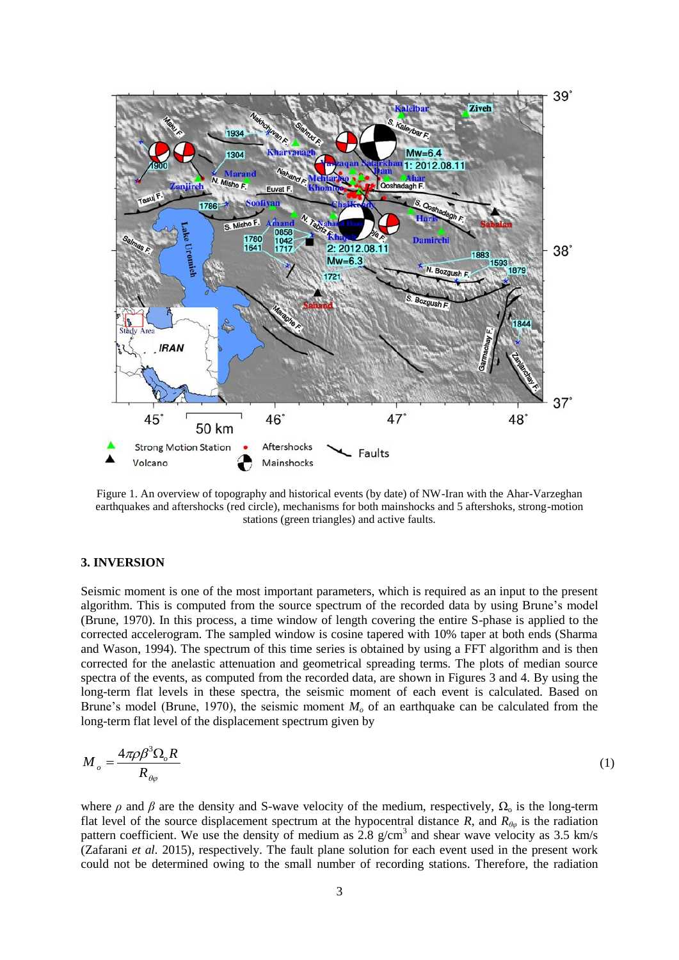

Figure 1. An overview of topography and historical events (by date) of NW-Iran with the Ahar-Varzeghan earthquakes and aftershocks (red circle), mechanisms for both mainshocks and 5 aftershoks, strong-motion stations (green triangles) and active faults.

## **3. INVERSION**

Seismic moment is one of the most important parameters, which is required as an input to the present algorithm. This is computed from the source spectrum of the recorded data by using Brune's model (Brune, 1970). In this process, a time window of length covering the entire S-phase is applied to the corrected accelerogram. The sampled window is cosine tapered with 10% taper at both ends (Sharma and Wason, 1994). The spectrum of this time series is obtained by using a FFT algorithm and is then corrected for the anelastic attenuation and geometrical spreading terms. The plots of median source spectra of the events, as computed from the recorded data, are shown in Figures 3 and 4. By using the long-term flat levels in these spectra, the seismic moment of each event is calculated. Based on Brune's model (Brune, 1970), the seismic moment  $M<sub>o</sub>$  of an earthquake can be calculated from the long-term flat level of the displacement spectrum given by

$$
M_{o} = \frac{4\pi\rho\beta^3\Omega_{o}R}{R_{o\rho}}\tag{1}
$$

where  $\rho$  and  $\beta$  are the density and S-wave velocity of the medium, respectively,  $\Omega_0$  is the long-term flat level of the source displacement spectrum at the hypocentral distance *R*, and  $R_{\theta\phi}$  is the radiation pattern coefficient. We use the density of medium as  $2.8 \text{ g/cm}^3$  and shear wave velocity as 3.5 km/s (Zafarani *et al.* 2015), respectively. The fault plane solution for each event used in the present work could not be determined owing to the small number of recording stations. Therefore, the radiation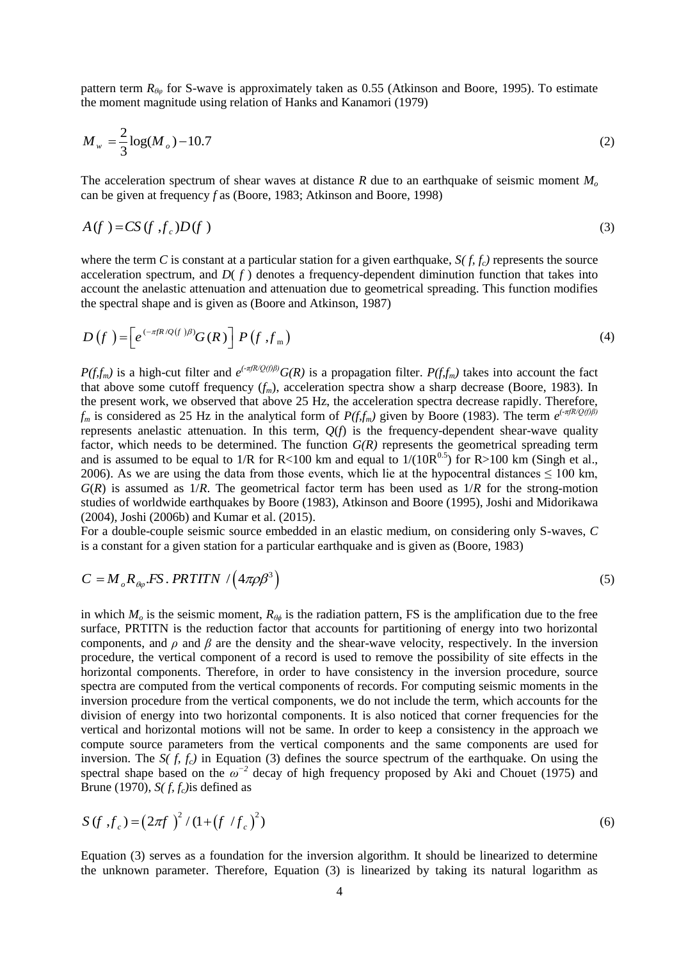pattern term *Rθφ* for S-wave is approximately taken as 0.55 (Atkinson and Boore, 1995). To estimate the moment magnitude using relation of Hanks and Kanamori (1979)

$$
M_{w} = \frac{2}{3}\log(M_{o}) - 10.7
$$
 (2)

The acceleration spectrum of shear waves at distance *R* due to an earthquake of seismic moment *M<sup>o</sup>* can be given at frequency *f* as (Boore, 1983; Atkinson and Boore, 1998)

$$
A(f) = CS(f, f_c)D(f)
$$
\n(3)

where the term *C* is constant at a particular station for a given earthquake,  $S(f, f_c)$  represents the source acceleration spectrum, and  $D(f)$  denotes a frequency-dependent diminution function that takes into account the anelastic attenuation and attenuation due to geometrical spreading. This function modifies the spectral shape and is given as (Boore and Atkinson, 1987)

$$
D(f) = \left[e^{(-\pi f R/Q(f))\beta)} G(R)\right] P(f, f_m)
$$
\n(4)

*P(f,f<sub>m</sub>)* is a high-cut filter and  $e^{(-\pi f R/Q(f)\beta)}G(R)$  is a propagation filter. *P(f,f<sub>m</sub>)* takes into account the fact that above some cutoff frequency  $(f_m)$ , acceleration spectra show a sharp decrease (Boore, 1983). In the present work, we observed that above 25 Hz, the acceleration spectra decrease rapidly. Therefore,  $f_m$  is considered as 25 Hz in the analytical form of *P(f,f<sub>m</sub>)* given by Boore (1983). The term  $e^{(-\pi f R/Q(f)\beta)}$ represents anelastic attenuation. In this term, *Q*(*f*) is the frequency-dependent shear-wave quality factor, which needs to be determined. The function  $G(R)$  represents the geometrical spreading term and is assumed to be equal to 1/R for R<100 km and equal to  $1/(10R^{0.5})$  for R>100 km (Singh et al., 2006). As we are using the data from those events, which lie at the hypocentral distances  $\leq 100$  km,  $G(R)$  is assumed as  $1/R$ . The geometrical factor term has been used as  $1/R$  for the strong-motion studies of worldwide earthquakes by Boore (1983), Atkinson and Boore (1995), Joshi and Midorikawa (2004), Joshi (2006b) and Kumar et al. (2015).

For a double-couple seismic source embedded in an elastic medium, on considering only S-waves, *C*  is a constant for a given station for a particular earthquake and is given as (Boore, 1983)

$$
C = M_{\rho} R_{\theta \varphi} . FS. PRTITN / (4\pi \rho \beta^3)
$$
\n(5)

in which  $M<sub>o</sub>$  is the seismic moment,  $R<sub>θφ</sub>$  is the radiation pattern, FS is the amplification due to the free surface, PRTITN is the reduction factor that accounts for partitioning of energy into two horizontal components, and *ρ* and *β* are the density and the shear-wave velocity, respectively. In the inversion procedure, the vertical component of a record is used to remove the possibility of site effects in the horizontal components. Therefore, in order to have consistency in the inversion procedure, source spectra are computed from the vertical components of records. For computing seismic moments in the inversion procedure from the vertical components, we do not include the term, which accounts for the division of energy into two horizontal components. It is also noticed that corner frequencies for the vertical and horizontal motions will not be same. In order to keep a consistency in the approach we compute source parameters from the vertical components and the same components are used for inversion. The *S(f, f<sub>c</sub>)* in Equation (3) defines the source spectrum of the earthquake. On using the spectral shape based on the  $\omega^{-2}$  decay of high frequency proposed by Aki and Chouet (1975) and Brune (1970), *S( f, fc)*is defined as

$$
S(f, f_c) = (2\pi f)^2 / (1 + (f / f_c)^2)
$$
\n(6)

Equation (3) serves as a foundation for the inversion algorithm. It should be linearized to determine the unknown parameter. Therefore, Equation (3) is linearized by taking its natural logarithm as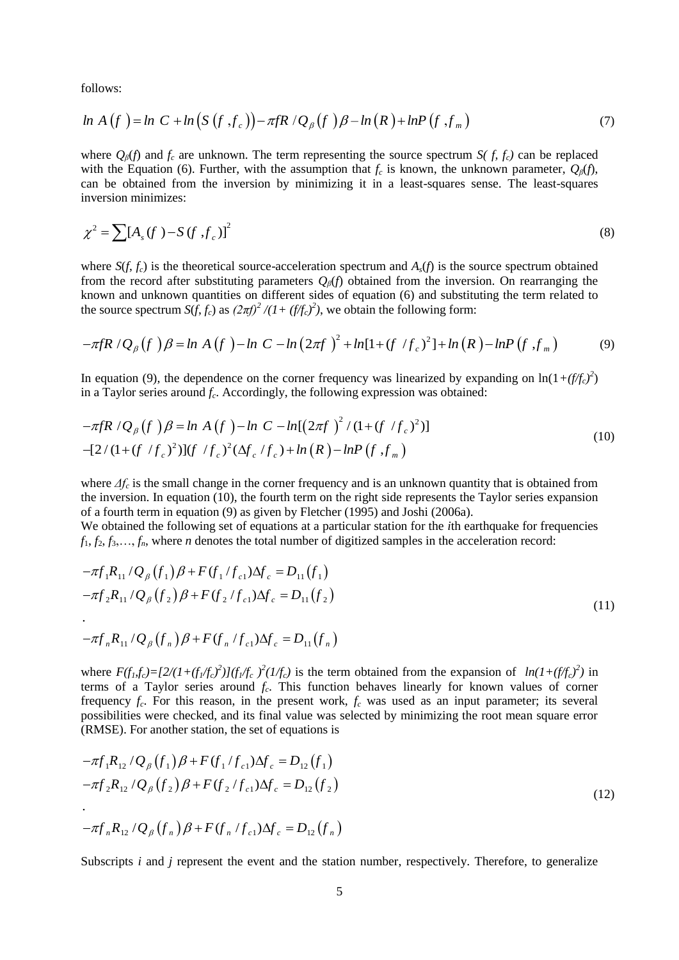follows:

follows:  
\n
$$
\ln A(f) = \ln C + \ln (S(f, f_c)) - \pi f R / Q_{\beta}(f) \beta - \ln (R) + \ln P(f, f_m)
$$
\n(7)

where  $Q_{\beta}(f)$  and  $f_c$  are unknown. The term representing the source spectrum *S(f, f<sub>c</sub>)* can be replaced with the Equation (6). Further, with the assumption that  $f_c$  is known, the unknown parameter,  $Q_\beta(f)$ , can be obtained from the inversion by minimizing it in a least-squares sense. The least-squares inversion minimizes:

$$
\chi^2 = \sum [A_s(f) - S(f, f_c)]^2 \tag{8}
$$

where  $S(f, f_c)$  is the theoretical source-acceleration spectrum and  $A_s(f)$  is the source spectrum obtained from the record after substituting parameters  $Q_\beta(f)$  obtained from the inversion. On rearranging the from the record after substituting parameters  $Q_{\beta}(f)$  obtained from the inversion. On rearranging the known and unknown quantities on different sides of equation (6) and substituting the term related to the source spect the source spectrum  $S(f, f_c)$  as  $(2\pi f)^2 / (1 + (f/f_c)^2)$ , we obtain the following form:

$$
-\pi f R / Q_{\beta}(f) \beta = \ln A(f) - \ln C - \ln (2\pi f)^{2} + \ln[1 + (f/f_{c})^{2}] + \ln (R) - \ln P(f, f_{m})
$$
(9)

In equation (9), the dependence on the corner frequency was linearized by expanding on  $\ln(1+(f/f_c)^2)$ 

in a Taylor series around 
$$
f_c
$$
. Accordingly, the following expression was obtained:  
\n
$$
-\pi fR / Q_{\beta}(f) \beta = \ln A (f) - \ln C - \ln[(2\pi f)^2 / (1 + (f / f_c)^2)]
$$
\n
$$
- [2 / (1 + (f / f_c)^2)] (f / f_c)^2 (\Delta f_c / f_c) + \ln (R) - \ln P (f , f_m)
$$
\n(10)

where *Δf<sup>c</sup>* is the small change in the corner frequency and is an unknown quantity that is obtained from the inversion. In equation (10), the fourth term on the right side represents the Taylor series expansion of a fourth term in equation (9) as given by Fletcher (1995) and Joshi (2006a).

We obtained the following set of equations at a particular station for the *i*th earthquake for frequencies

$$
f_1, f_2, f_3, \ldots, f_n
$$
, where *n* denotes the total number of digitized samples in the acceleration record:  
\n
$$
-\pi f_1 R_{11} / Q_{\beta}(f_1) \beta + F(f_1 / f_{c1}) \Delta f_c = D_{11}(f_1)
$$
\n
$$
-\pi f_2 R_{11} / Q_{\beta}(f_2) \beta + F(f_2 / f_{c1}) \Delta f_c = D_{11}(f_2)
$$
\n(11)

$$
-\pi f_n R_{11} / Q_{\beta} (f_n) \beta + F (f_n / f_{c1}) \Delta f_c = D_{11} (f_n)
$$

where  $F(f_1, f_c) = [2/(1+(f_1/f_c)^2)](f_1/f_c)^2(1/f_c)$  is the term obtained from the expansion of  $ln(1+(f_1/f_c)^2)$  in terms of a Taylor series around *f<sup>c</sup>* . This function behaves linearly for known values of corner frequency *f<sup>c</sup>* . For this reason, in the present work, *f<sup>c</sup>* was used as an input parameter; its several possibilities were checked, and its final value was selected by minimizing the root mean square error

(RMSE). For another station, the set of equations is  
\n
$$
-\pi f_1 R_{12} / Q_\beta (f_1) \beta + F (f_1 / f_{c1}) \Delta f_c = D_{12} (f_1)
$$
\n
$$
-\pi f_2 R_{12} / Q_\beta (f_2) \beta + F (f_2 / f_{c1}) \Delta f_c = D_{12} (f_2)
$$
\n
$$
-\pi f_n R_{12} / Q_\beta (f_n) \beta + F (f_n / f_{c1}) \Delta f_c = D_{12} (f_n)
$$
\n(12)

Subscripts *i* and *j* represent the event and the station number, respectively. Therefore, to generalize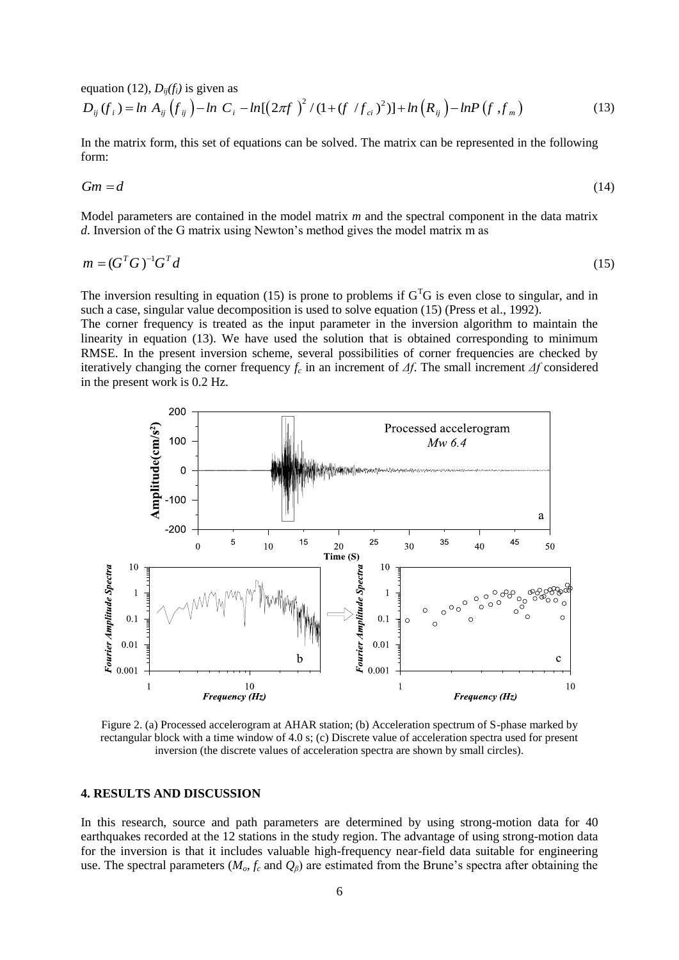equation (12), 
$$
D_{ij}(f_i)
$$
 is given as  
\n
$$
D_{ij}(f_i) = \ln A_{ij}(f_{ij}) - \ln C_i - \ln[(2\pi f)^2 / (1 + (f / f_{ci})^2)] + \ln (R_{ij}) - \ln P(f, f_m)
$$
\n(13)

In the matrix form, this set of equations can be solved. The matrix can be represented in the following form:

$$
Gm = d \tag{14}
$$

Model parameters are contained in the model matrix *m* and the spectral component in the data matrix *d*. Inversion of the G matrix using Newton's method gives the model matrix m as

$$
m = (GTG)-1GTd
$$
\n
$$
(15)
$$

The inversion resulting in equation (15) is prone to problems if  $G<sup>T</sup>G$  is even close to singular, and in such a case, singular value decomposition is used to solve equation (15) (Press et al., 1992).

The corner frequency is treated as the input parameter in the inversion algorithm to maintain the linearity in equation (13). We have used the solution that is obtained corresponding to minimum RMSE. In the present inversion scheme, several possibilities of corner frequencies are checked by iteratively changing the corner frequency *f<sup>c</sup>* in an increment of *Δf*. The small increment *Δf* considered in the present work is 0.2 Hz.



Figure 2. (a) Processed accelerogram at AHAR station; (b) Acceleration spectrum of S-phase marked by rectangular block with a time window of 4.0 s; (c) Discrete value of acceleration spectra used for present inversion (the discrete values of acceleration spectra are shown by small circles).

## **4. RESULTS AND DISCUSSION**

In this research, source and path parameters are determined by using strong-motion data for 40 earthquakes recorded at the 12 stations in the study region. The advantage of using strong-motion data for the inversion is that it includes valuable high-frequency near-field data suitable for engineering use. The spectral parameters ( $M_o$ ,  $f_c$  and  $Q_\beta$ ) are estimated from the Brune's spectra after obtaining the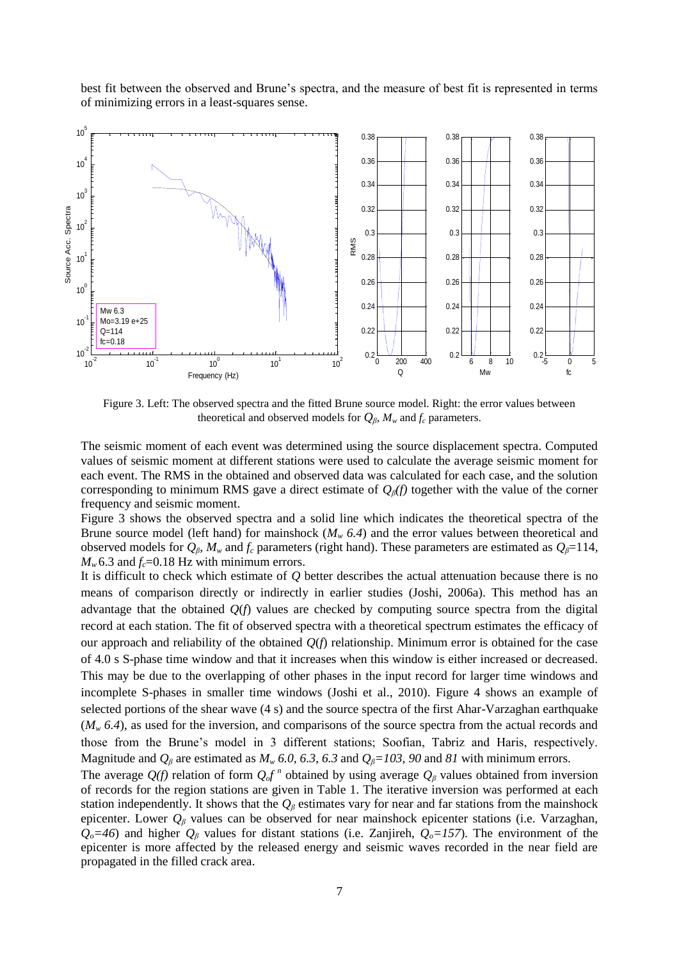best fit between the observed and Brune's spectra, and the measure of best fit is represented in terms of minimizing errors in a least-squares sense.



Figure 3. Left: The observed spectra and the fitted Brune source model. Right: the error values between theoretical and observed models for  $Q_\beta$ ,  $M_\nu$  and  $f_c$  parameters.

The seismic moment of each event was determined using the source displacement spectra. Computed values of seismic moment at different stations were used to calculate the average seismic moment for each event. The RMS in the obtained and observed data was calculated for each case, and the solution corresponding to minimum RMS gave a direct estimate of *Qβ(f)* together with the value of the corner frequency and seismic moment.

Figure 3 shows the observed spectra and a solid line which indicates the theoretical spectra of the Brune source model (left hand) for mainshock  $(M_w 6.4)$  and the error values between theoretical and observed models for  $Q_\beta$ ,  $M_\nu$  and  $f_c$  parameters (right hand). These parameters are estimated as  $Q_\beta = 114$ ,  $M_w$  6.3 and  $f_c$ =0.18 Hz with minimum errors.

It is difficult to check which estimate of *Q* better describes the actual attenuation because there is no means of comparison directly or indirectly in earlier studies (Joshi, 2006a). This method has an advantage that the obtained *Q*(*f*) values are checked by computing source spectra from the digital record at each station. The fit of observed spectra with a theoretical spectrum estimates the efficacy of our approach and reliability of the obtained *Q*(*f*) relationship. Minimum error is obtained for the case of 4.0 s S-phase time window and that it increases when this window is either increased or decreased. This may be due to the overlapping of other phases in the input record for larger time windows and incomplete S-phases in smaller time windows (Joshi et al., 2010). Figure 4 shows an example of selected portions of the shear wave (4 s) and the source spectra of the first Ahar-Varzaghan earthquake (*M<sup>w</sup> 6.4*), as used for the inversion, and comparisons of the source spectra from the actual records and those from the Brune's model in 3 different stations; Soofian, Tabriz and Haris, respectively. Magnitude and  $Q_\beta$  are estimated as  $M_w$  6.0, 6.3, 6.3 and  $Q_\beta = 103$ , 90 and 81 with minimum errors.

The average  $Q(f)$  relation of form  $Q_o f^n$  obtained by using average  $Q_\beta$  values obtained from inversion of records for the region stations are given in Table 1. The iterative inversion was performed at each station independently. It shows that the  $Q_\beta$  estimates vary for near and far stations from the mainshock epicenter. Lower *Q<sup>β</sup>* values can be observed for near mainshock epicenter stations (i.e. Varzaghan,  $Q$ <sup> $o$ </sup>=46) and higher  $Q$ <sup>β</sup> values for distant stations (i.e. Zanjireh,  $Q$ <sup> $o$ </sup>=157). The environment of the epicenter is more affected by the released energy and seismic waves recorded in the near field are propagated in the filled crack area.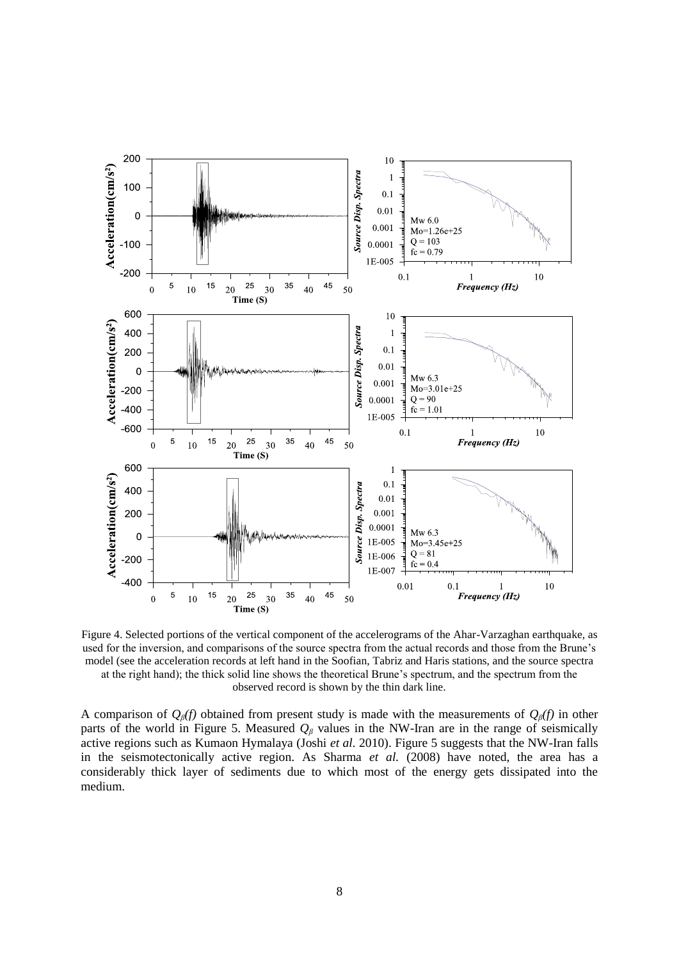

Figure 4. Selected portions of the vertical component of the accelerograms of the Ahar-Varzaghan earthquake, as used for the inversion, and comparisons of the source spectra from the actual records and those from the Brune's model (see the acceleration records at left hand in the Soofian, Tabriz and Haris stations, and the source spectra at the right hand); the thick solid line shows the theoretical Brune's spectrum, and the spectrum from the observed record is shown by the thin dark line.

A comparison of *Qβ(f)* obtained from present study is made with the measurements of *Qβ(f)* in other parts of the world in Figure 5. Measured *Q<sup>β</sup>* values in the NW-Iran are in the range of seismically active regions such as Kumaon Hymalaya (Joshi *et al.* 2010). Figure 5 suggests that the NW-Iran falls in the seismotectonically active region. As Sharma *et al.* (2008) have noted, the area has a considerably thick layer of sediments due to which most of the energy gets dissipated into the medium.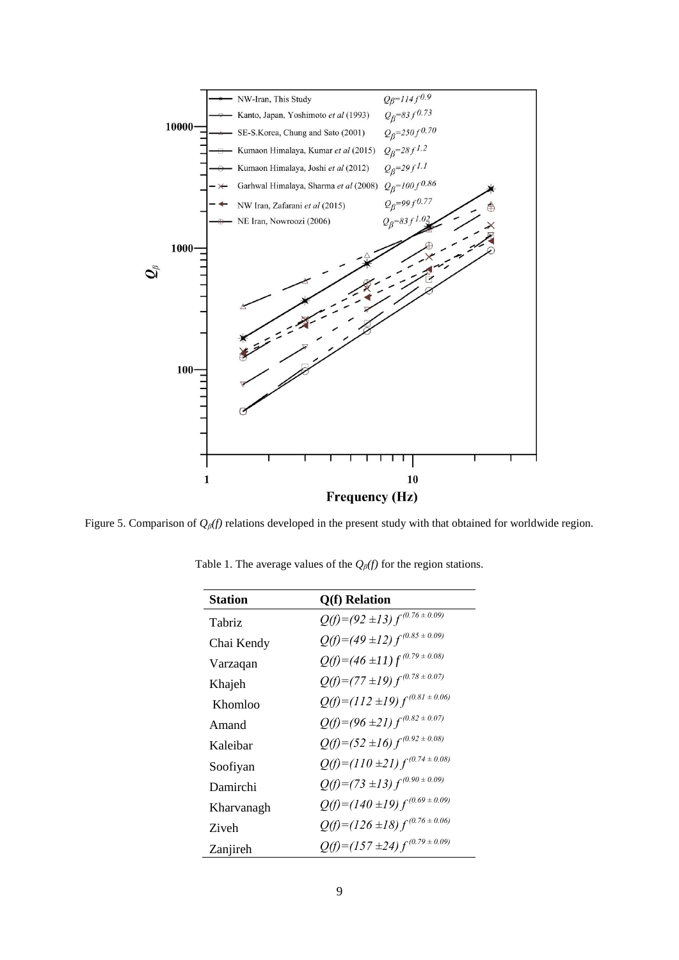

Figure 5. Comparison of *Qβ(f)* relations developed in the present study with that obtained for worldwide region.

| <b>Station</b> | Q(f) Relation                       |
|----------------|-------------------------------------|
| Tabriz         | $Q(f)=(92\pm13) f^{(0.76\pm0.09)}$  |
| Chai Kendy     | $Q(f)=(49\pm12) f^{(0.85\pm0.09)}$  |
| Varzaqan       | $Q(f)=(46\pm11) f^{(0.79\pm0.08)}$  |
| Khajeh         | $Q(f)=(77\pm19) f^{(0.78\pm0.07)}$  |
| Khomloo        | $Q(f)=(112\pm19) f^{(0.81\pm0.06)}$ |
| Amand          | $Q(f)=(96\pm21) f^{(0.82\pm0.07)}$  |
| Kaleibar       | $Q(f)=(52\pm16) f^{(0.92\pm0.08)}$  |
| Soofiyan       | $Q(f)=(110\pm21) f^{(0.74\pm0.08)}$ |
| Damirchi       | $Q(f)=(73\pm13) f^{(0.90\pm0.09)}$  |
| Kharvanagh     | $Q(f)=(140\pm19) f^{(0.69\pm0.09)}$ |
| <b>Ziveh</b>   | $Q(f)=(126\pm18) f^{(0.76\pm0.06)}$ |
| Zanjireh       | $Q(f)=(157\pm24) f^{(0.79\pm0.09)}$ |

Table 1. The average values of the *Qβ(f)* for the region stations.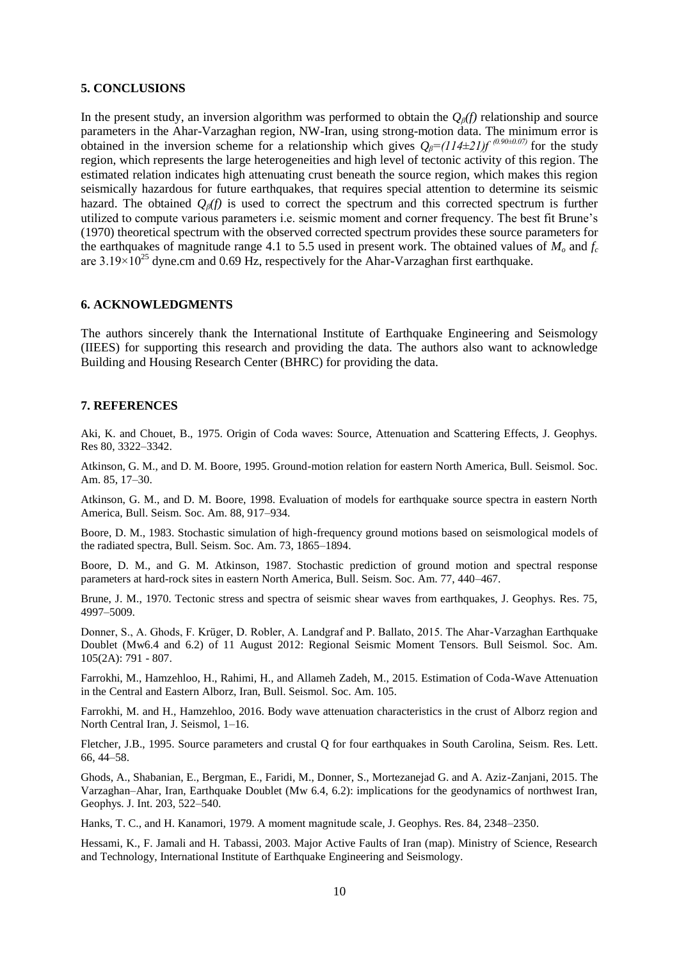## **5. CONCLUSIONS**

In the present study, an inversion algorithm was performed to obtain the *Qβ(f)* relationship and source parameters in the Ahar-Varzaghan region, NW-Iran, using strong-motion data. The minimum error is obtained in the inversion scheme for a relationship which gives  $Q_\beta = (114\pm 21)f^{(0.90\pm 0.07)}$  for the study region, which represents the large heterogeneities and high level of tectonic activity of this region. The estimated relation indicates high attenuating crust beneath the source region, which makes this region seismically hazardous for future earthquakes, that requires special attention to determine its seismic hazard. The obtained *Qβ(f)* is used to correct the spectrum and this corrected spectrum is further utilized to compute various parameters i.e. seismic moment and corner frequency. The best fit Brune's (1970) theoretical spectrum with the observed corrected spectrum provides these source parameters for the earthquakes of magnitude range 4.1 to 5.5 used in present work. The obtained values of  $M<sub>o</sub>$  and  $f<sub>c</sub>$ are  $3.19 \times 10^{25}$  dyne.cm and 0.69 Hz, respectively for the Ahar-Varzaghan first earthquake.

## **6. ACKNOWLEDGMENTS**

The authors sincerely thank the International Institute of Earthquake Engineering and Seismology (IIEES) for supporting this research and providing the data. The authors also want to acknowledge Building and Housing Research Center (BHRC) for providing the data.

### **7. REFERENCES**

Aki, K. and Chouet, B., 1975. Origin of Coda waves: Source, Attenuation and Scattering Effects, J. Geophys. Res 80, 3322–3342.

Atkinson, G. M., and D. M. Boore, 1995. Ground-motion relation for eastern North America, Bull. Seismol. Soc. Am. 85, 17–30.

Atkinson, G. M., and D. M. Boore, 1998. Evaluation of models for earthquake source spectra in eastern North America, Bull. Seism. Soc. Am. 88, 917–934.

Boore, D. M., 1983. Stochastic simulation of high-frequency ground motions based on seismological models of the radiated spectra, Bull. Seism. Soc. Am. 73, 1865–1894.

Boore, D. M., and G. M. Atkinson, 1987. Stochastic prediction of ground motion and spectral response parameters at hard-rock sites in eastern North America, Bull. Seism. Soc. Am. 77, 440–467.

Brune, J. M., 1970. Tectonic stress and spectra of seismic shear waves from earthquakes, J. Geophys. Res. 75, 4997–5009.

Donner, S., A. Ghods, F. Krüger, D. Robler, A. Landgraf and P. Ballato, 2015. The Ahar-Varzaghan Earthquake Doublet (Mw6.4 and 6.2) of 11 August 2012: Regional Seismic Moment Tensors. Bull Seismol. Soc. Am. 105(2A): 791 - 807.

Farrokhi, M., Hamzehloo, H., Rahimi, H., and Allameh Zadeh, M., 2015. Estimation of Coda-Wave Attenuation in the Central and Eastern Alborz, Iran, Bull. Seismol. Soc. Am. 105.

Farrokhi, M. and H., Hamzehloo, 2016. Body wave attenuation characteristics in the crust of Alborz region and North Central Iran, J. Seismol, 1–16.

Fletcher, J.B., 1995. Source parameters and crustal Q for four earthquakes in South Carolina, Seism. Res. Lett. 66, 44–58.

Ghods, A., Shabanian, E., Bergman, E., Faridi, M., Donner, S., Mortezanejad G. and A. Aziz-Zanjani, 2015. The Varzaghan–Ahar, Iran, Earthquake Doublet (Mw 6.4, 6.2): implications for the geodynamics of northwest Iran, Geophys. J. Int. 203, 522–540.

Hanks, T. C., and H. Kanamori, 1979. A moment magnitude scale, J. Geophys. Res. 84, 2348–2350.

Hessami, K., F. Jamali and H. Tabassi, 2003. Major Active Faults of Iran (map). Ministry of Science, Research and Technology, International Institute of Earthquake Engineering and Seismology.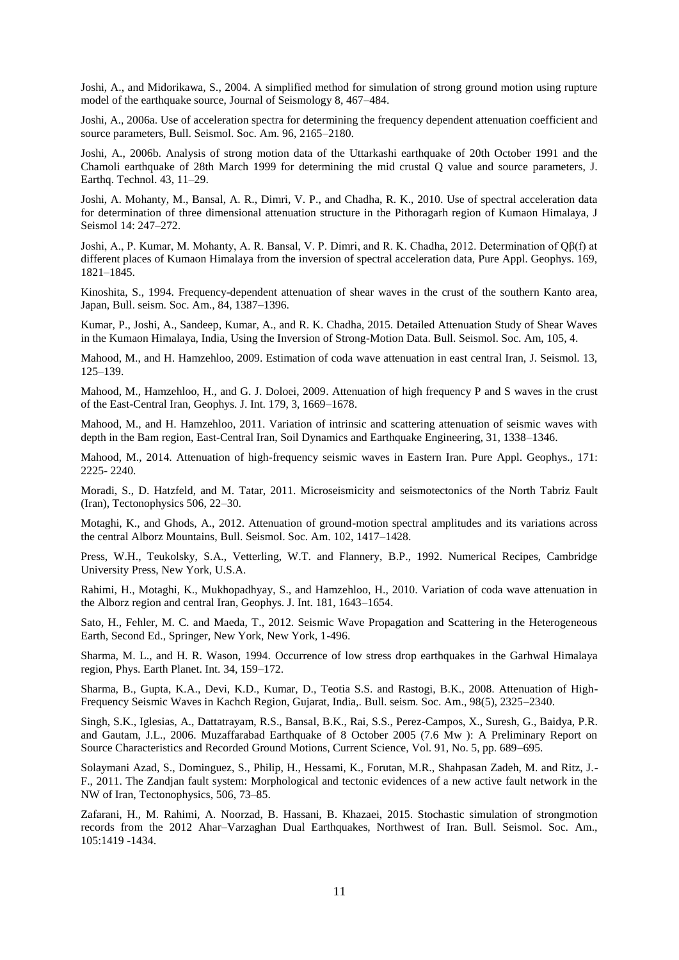Joshi, A., and Midorikawa, S., 2004. A simplified method for simulation of strong ground motion using rupture model of the earthquake source, Journal of Seismology 8, 467–484.

Joshi, A., 2006a. Use of acceleration spectra for determining the frequency dependent attenuation coefficient and source parameters, Bull. Seismol. Soc. Am. 96, 2165–2180.

Joshi, A., 2006b. Analysis of strong motion data of the Uttarkashi earthquake of 20th October 1991 and the Chamoli earthquake of 28th March 1999 for determining the mid crustal Q value and source parameters, J. Earthq. Technol. 43, 11–29.

Joshi, A. Mohanty, M., Bansal, A. R., Dimri, V. P., and Chadha, R. K., 2010. Use of spectral acceleration data for determination of three dimensional attenuation structure in the Pithoragarh region of Kumaon Himalaya, J Seismol 14: 247–272.

Joshi, A., P. Kumar, M. Mohanty, A. R. Bansal, V. P. Dimri, and R. K. Chadha, 2012. Determination of Qβ(f) at different places of Kumaon Himalaya from the inversion of spectral acceleration data, Pure Appl. Geophys. 169, 1821–1845.

Kinoshita, S., 1994. Frequency-dependent attenuation of shear waves in the crust of the southern Kanto area, Japan, Bull. seism. Soc. Am., 84, 1387–1396.

Kumar, P., Joshi, A., Sandeep, Kumar, A., and R. K. Chadha, 2015. Detailed Attenuation Study of Shear Waves in the Kumaon Himalaya, India, Using the Inversion of Strong-Motion Data. Bull. Seismol. Soc. Am, 105, 4.

Mahood, M., and H. Hamzehloo, 2009. Estimation of coda wave attenuation in east central Iran, J. Seismol. 13, 125–139.

Mahood, M., Hamzehloo, H., and G. J. Doloei, 2009. Attenuation of high frequency P and S waves in the crust of the East-Central Iran, Geophys. J. Int. 179, 3, 1669–1678.

Mahood, M., and H. Hamzehloo, 2011. Variation of intrinsic and scattering attenuation of seismic waves with depth in the Bam region, East-Central Iran, Soil Dynamics and Earthquake Engineering, 31, 1338–1346.

Mahood, M., 2014. Attenuation of high-frequency seismic waves in Eastern Iran. Pure Appl. Geophys., 171: 2225- 2240.

Moradi, S., D. Hatzfeld, and M. Tatar, 2011. Microseismicity and seismotectonics of the North Tabriz Fault (Iran), Tectonophysics 506, 22–30.

Motaghi, K., and Ghods, A., 2012. Attenuation of ground-motion spectral amplitudes and its variations across the central Alborz Mountains, Bull. Seismol. Soc. Am. 102, 1417–1428.

Press, W.H., Teukolsky, S.A., Vetterling, W.T. and Flannery, B.P., 1992. Numerical Recipes, Cambridge University Press, New York, U.S.A.

Rahimi, H., Motaghi, K., Mukhopadhyay, S., and Hamzehloo, H., 2010. Variation of coda wave attenuation in the Alborz region and central Iran, Geophys. J. Int. 181, 1643–1654.

Sato, H., Fehler, M. C. and Maeda, T., 2012. Seismic Wave Propagation and Scattering in the Heterogeneous Earth, Second Ed., Springer, New York, New York, 1-496.

Sharma, M. L., and H. R. Wason, 1994. Occurrence of low stress drop earthquakes in the Garhwal Himalaya region, Phys. Earth Planet. Int. 34, 159–172.

Sharma, B., Gupta, K.A., Devi, K.D., Kumar, D., Teotia S.S. and Rastogi, B.K., 2008. Attenuation of High-Frequency Seismic Waves in Kachch Region, Gujarat, India,. Bull. seism. Soc. Am., 98(5), 2325–2340.

Singh, S.K., Iglesias, A., Dattatrayam, R.S., Bansal, B.K., Rai, S.S., Perez-Campos, X., Suresh, G., Baidya, P.R. and Gautam, J.L., 2006. Muzaffarabad Earthquake of 8 October 2005 (7.6 Mw ): A Preliminary Report on Source Characteristics and Recorded Ground Motions, Current Science, Vol. 91, No. 5, pp. 689–695.

Solaymani Azad, S., Dominguez, S., Philip, H., Hessami, K., Forutan, M.R., Shahpasan Zadeh, M. and Ritz, J.- F., 2011. The Zandjan fault system: Morphological and tectonic evidences of a new active fault network in the NW of Iran, Tectonophysics, 506, 73–85.

Zafarani, H., M. Rahimi, A. Noorzad, B. Hassani, B. Khazaei, 2015. Stochastic simulation of strongmotion records from the 2012 Ahar–Varzaghan Dual Earthquakes, Northwest of Iran. Bull. Seismol. Soc. Am., 105:1419 -1434.